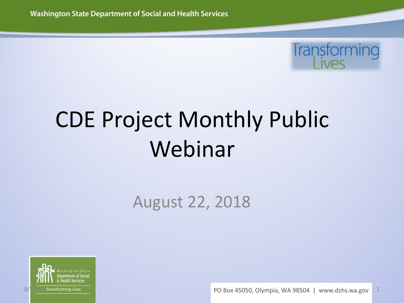

# CDE Project Monthly Public Webinar

#### August 22, 2018



 $\frac{8}{22}/\frac{2}{18}$ Transforming lives and the set of the set of the set of the set of the PO Box 45050, Olympia, WA 98504 | www.dshs.wa.gov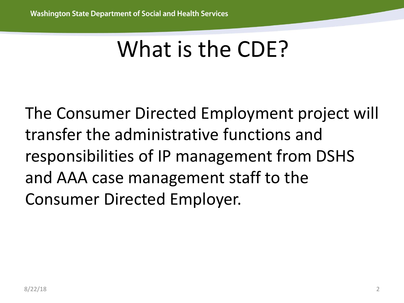# What is the CDE?

The Consumer Directed Employment project will transfer the administrative functions and responsibilities of IP management from DSHS and AAA case management staff to the Consumer Directed Employer.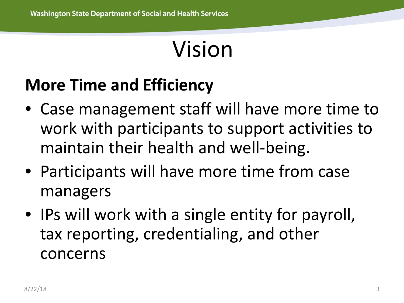# Vision

### **More Time and Efficiency**

- Case management staff will have more time to work with participants to support activities to maintain their health and well-being.
- Participants will have more time from case managers
- IPs will work with a single entity for payroll, tax reporting, credentialing, and other concerns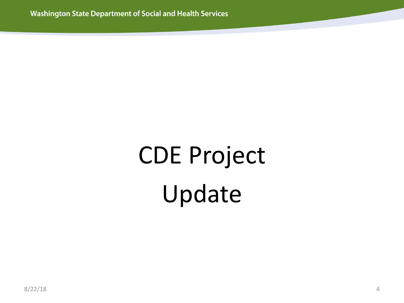# CDE Project Update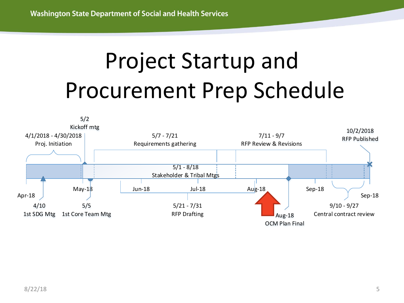# Project Startup and Procurement Prep Schedule

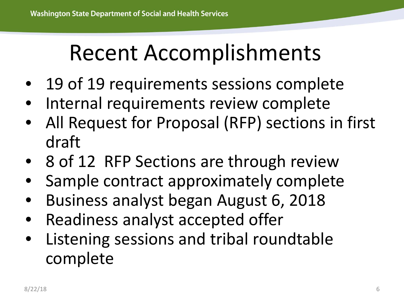# Recent Accomplishments

- 19 of 19 requirements sessions complete
- Internal requirements review complete
- All Request for Proposal (RFP) sections in first draft
- 8 of 12 RFP Sections are through review
- Sample contract approximately complete
- Business analyst began August 6, 2018
- Readiness analyst accepted offer
- Listening sessions and tribal roundtable complete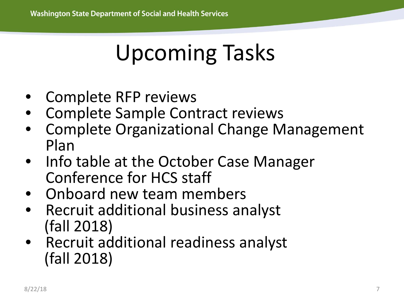# Upcoming Tasks

- Complete RFP reviews
- Complete Sample Contract reviews
- Complete Organizational Change Management Plan
- Info table at the October Case Manager Conference for HCS staff
- Onboard new team members
- Recruit additional business analyst (fall 2018)
- Recruit additional readiness analyst (fall 2018)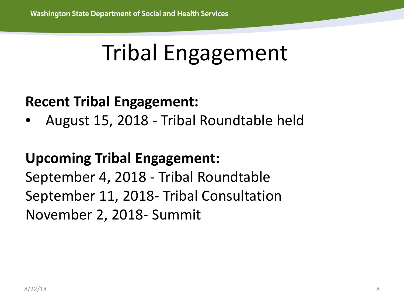### Tribal Engagement

#### **Recent Tribal Engagement:**

• August 15, 2018 - Tribal Roundtable held

#### **Upcoming Tribal Engagement:**

September 4, 2018 - Tribal Roundtable September 11, 2018- Tribal Consultation November 2, 2018- Summit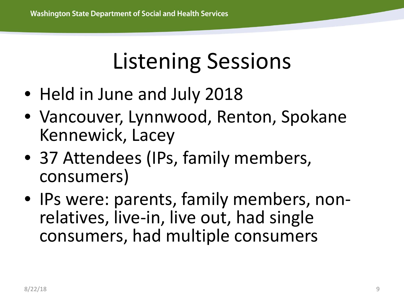### Listening Sessions

- Held in June and July 2018
- Vancouver, Lynnwood, Renton, Spokane Kennewick, Lacey
- 37 Attendees (IPs, family members, consumers)
- IPs were: parents, family members, non-<br>relatives, live-in, live out, had single consumers, had multiple consumers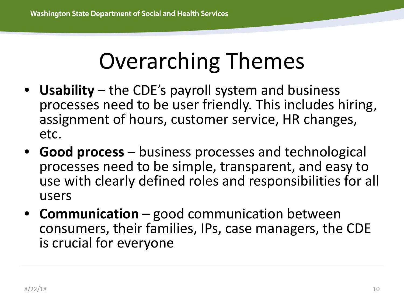### Overarching Themes

- **Usability** the CDE's payroll system and business processes need to be user friendly. This includes hiring, assignment of hours, customer service, HR changes, etc.
- **Good process** business processes and technological processes need to be simple, transparent, and easy to use with clearly defined roles and responsibilities for all users
- **Communication** good communication between consumers, their families, IPs, case managers, the CDE is crucial for everyone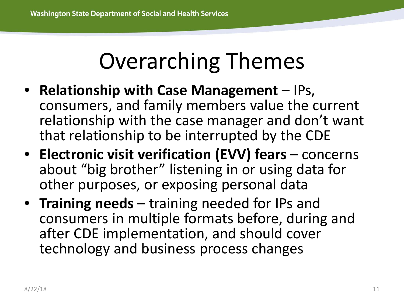### Overarching Themes

- **Relationship with Case Management** IPs, consumers, and family members value the current relationship with the case manager and don't want that relationship to be interrupted by the CDE
- **Electronic visit verification (EVV) fears** concerns about "big brother" listening in or using data for other purposes, or exposing personal data
- **Training needs** training needed for IPs and consumers in multiple formats before, during and after CDE implementation, and should cover technology and business process changes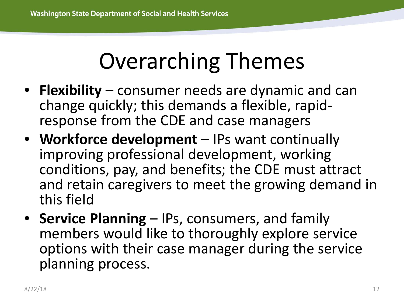# Overarching Themes

- **Flexibility** consumer needs are dynamic and can change quickly; this demands a flexible, rapid- response from the CDE and case managers
- **Workforce development** IPs want continually improving professional development, working conditions, pay, and benefits; the CDE must attract and retain caregivers to meet the growing demand in this field
- **Service Planning**  IPs, consumers, and family members would like to thoroughly explore service options with their case manager during the service planning process.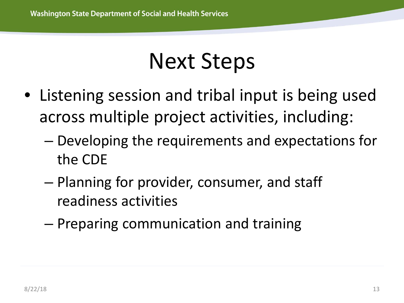### Next Steps

- Listening session and tribal input is being used across multiple project activities, including:
	- Developing the requirements and expectations for the CDE
	- Planning for provider, consumer, and staff readiness activities
	- Preparing communication and training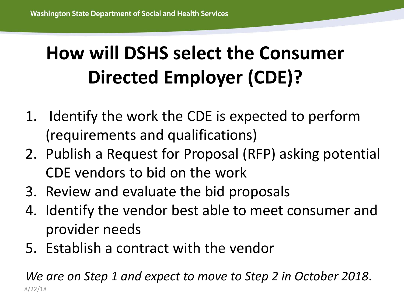### **How will DSHS select the Consumer Directed Employer (CDE)?**

- 1. Identify the work the CDE is expected to perform (requirements and qualifications)
- 2. Publish a Request for Proposal (RFP) asking potential CDE vendors to bid on the work
- 3. Review and evaluate the bid proposals
- 4. Identify the vendor best able to meet consumer and provider needs
- 5. Establish a contract with the vendor

*We are on Step 1 and expect to move to Step 2 in October 2018*. 8/22/18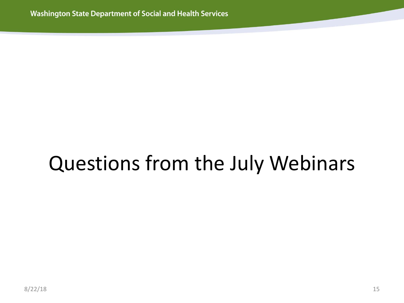### Questions from the July Webinars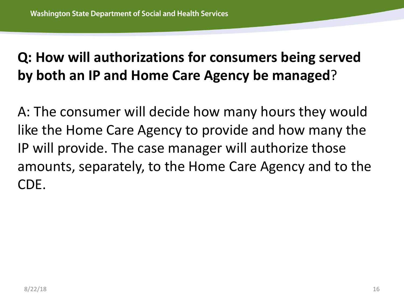#### **Q: How will authorizations for consumers being served by both an IP and Home Care Agency be managed**?

A: The consumer will decide how many hours they would like the Home Care Agency to provide and how many the IP will provide. The case manager will authorize those amounts, separately, to the Home Care Agency and to the CDE.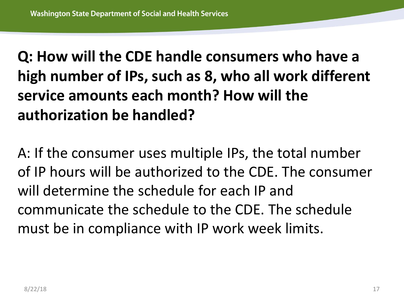**Q: How will the CDE handle consumers who have a high number of IPs, such as 8, who all work different service amounts each month? How will the authorization be handled?**

A: If the consumer uses multiple IPs, the total number of IP hours will be authorized to the CDE. The consumer will determine the schedule for each IP and communicate the schedule to the CDE. The schedule must be in compliance with IP work week limits.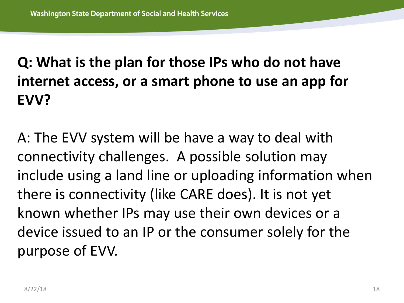### **Q: What is the plan for those IPs who do not have internet access, or a smart phone to use an app for EVV?**

A: The EVV system will be have a way to deal with connectivity challenges. A possible solution may include using a land line or uploading information when there is connectivity (like CARE does). It is not yet known whether IPs may use their own devices or a device issued to an IP or the consumer solely for the purpose of EVV.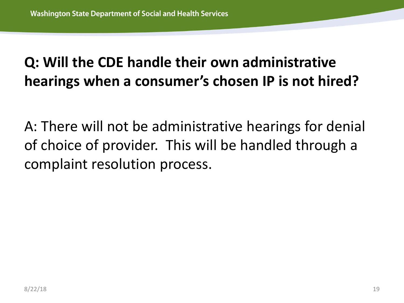#### **Q: Will the CDE handle their own administrative hearings when a consumer's chosen IP is not hired?**

A: There will not be administrative hearings for denial of choice of provider. This will be handled through a complaint resolution process.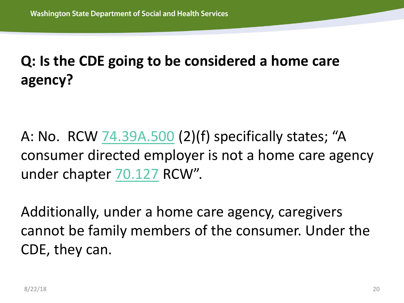#### **Q: Is the CDE going to be considered a home care agency?**

A: No. RCW [74.39A.500](http://app.leg.wa.gov/RCW/default.aspx?cite=74.39A.500) (2)(f) specifically states; "A consumer directed employer is not a home care agency under chapter [70.127](http://app.leg.wa.gov/RCW/default.aspx?cite=70.127) RCW".

Additionally, under a home care agency, caregivers cannot be family members of the consumer. Under the CDE, they can.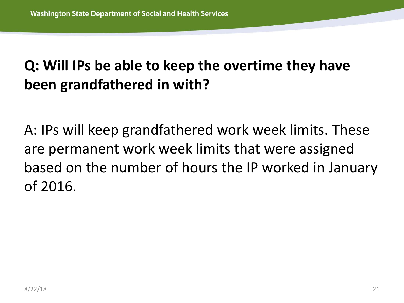#### **Q: Will IPs be able to keep the overtime they have been grandfathered in with?**

A: IPs will keep grandfathered work week limits. These are permanent work week limits that were assigned based on the number of hours the IP worked in January of 2016.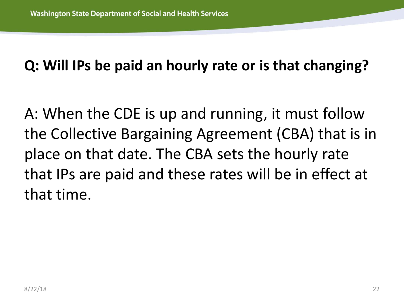#### **Q: Will IPs be paid an hourly rate or is that changing?**

A: When the CDE is up and running, it must follow the Collective Bargaining Agreement (CBA) that is in place on that date. The CBA sets the hourly rate that IPs are paid and these rates will be in effect at that time.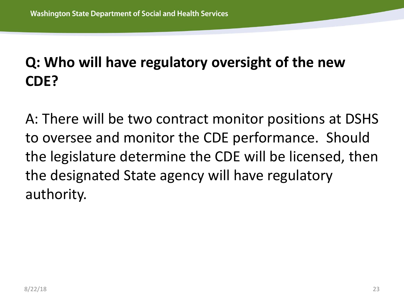### **Q: Who will have regulatory oversight of the new CDE?**

A: There will be two contract monitor positions at DSHS to oversee and monitor the CDE performance. Should the legislature determine the CDE will be licensed, then the designated State agency will have regulatory authority.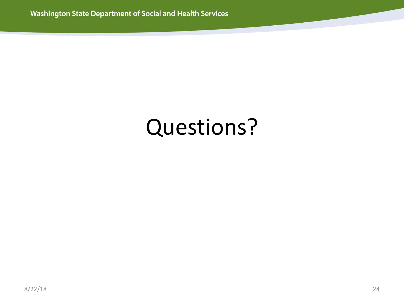### Questions?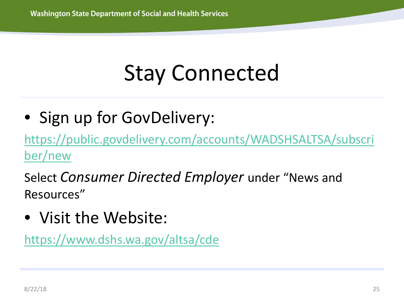# Stay Connected

• Sign up for GovDelivery:

[https://public.govdelivery.com/accounts/WADSHSALTSA/subscri](https://public.govdelivery.com/accounts/WADSHSALTSA/subscriber/new) ber/new

Select *Consumer Directed Employer* under "News and Resources"

• Visit the Website:

<https://www.dshs.wa.gov/altsa/cde>